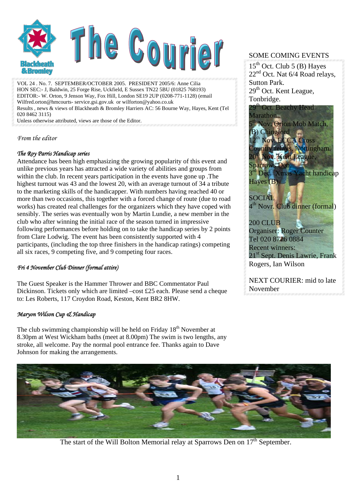

VOL 24 . No. 7. SEPTEMBER/OCTOBER 2005. PRESIDENT 2005/6: Anne Cilia HON SEC:- J, Baldwin, 25 Forge Rise, Uckfield, E Sussex TN22 5BU (01825 768193) EDITOR:- W. Orton, 9 Jenson Way, Fox Hill, London SE19 2UP (0208-771-1128) (email Wilfred.orton@hmcourts- service.gsi.gov.uk or wilforton@yahoo.co.uk Results , news & views of Blackheath & Bromley Harriers AC: 56 Bourne Way, Hayes, Kent (Tel 020 8462 3115)

Unless otherwise attributed, views are those of the Editor.

#### *From the editor*

#### *The Roy Parris Handicap series*

Attendance has been high emphasizing the growing popularity of this event and unlike previous years has attracted a wide variety of abilities and groups from within the club. In recent years participation in the events have gone up .The highest turnout was 43 and the lowest 20, with an average turnout of 34 a tribute to the marketing skills of the handicapper. With numbers having reached 40 or more than two occasions, this together with a forced change of route (due to road works) has created real challenges for the organizers which they have coped with sensibly. The series was eventually won by Martin Lundie, a new member in the club who after winning the initial race of the season turned in impressive following performances before holding on to take the handicap series by 2 points from Clare Lodwig. The event has been consistently supported with 4 participants, (including the top three finishers in the handicap ratings) competing all six races, 9 competing five, and 9 competing four races.

#### *Fri 4 November Club Dinner (formal attire)*

The Guest Speaker is the Hammer Thrower and BBC Commentator Paul Dickinson. Tickets only which are limited –cost £25 each. Please send a cheque to: Les Roberts, 117 Croydon Road, Keston, Kent BR2 8HW.

#### *Maryon Wilson Cup & Handicap*

The club swimming championship will be held on Friday  $18<sup>th</sup>$  November at 8.30pm at West Wickham baths (meet at 8.00pm) The swim is two lengths, any stroke, all welcome. Pay the normal pool entrance fee. Thanks again to Dave Johnson for making the arrangements.

#### SOME COMING EVENTS

 $15<sup>th</sup>$  Oct. Club 5 (B) Hayes  $22<sup>nd</sup>$  Oct. Nat 6/4 Road relays, Sutton Park.  $29<sup>th</sup>$  Oct. Kent League, Tonbridge.



NEXT COURIER: mid to late November



The start of the Will Bolton Memorial relay at Sparrows Den on  $17<sup>th</sup>$  September.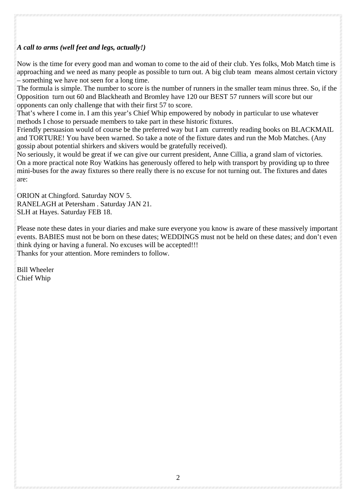#### *A call to arms (well feet and legs, actually!)*

Now is the time for every good man and woman to come to the aid of their club. Yes folks, Mob Match time is approaching and we need as many people as possible to turn out. A big club team means almost certain victory – something we have not seen for a long time.

The formula is simple. The number to score is the number of runners in the smaller team minus three. So, if the Opposition turn out 60 and Blackheath and Bromley have 120 our BEST 57 runners will score but our opponents can only challenge that with their first 57 to score.

That's where I come in. I am this year's Chief Whip empowered by nobody in particular to use whatever methods I chose to persuade members to take part in these historic fixtures.

Friendly persuasion would of course be the preferred way but I am currently reading books on BLACKMAIL and TORTURE! You have been warned. So take a note of the fixture dates and run the Mob Matches. (Any gossip about potential shirkers and skivers would be gratefully received).

No seriously, it would be great if we can give our current president, Anne Cillia, a grand slam of victories. On a more practical note Roy Watkins has generously offered to help with transport by providing up to three mini-buses for the away fixtures so there really there is no excuse for not turning out. The fixtures and dates are:

ORION at Chingford. Saturday NOV 5. RANELAGH at Petersham . Saturday JAN 21. SLH at Hayes. Saturday FEB 18.

Please note these dates in your diaries and make sure everyone you know is aware of these massively important events. BABIES must not be born on these dates; WEDDINGS must not be held on these dates; and don't even think dying or having a funeral. No excuses will be accepted!!! Thanks for your attention. More reminders to follow.

Bill Wheeler Chief Whip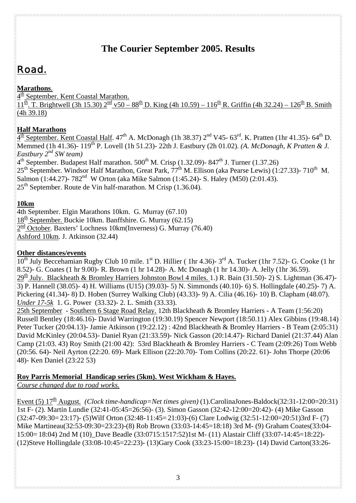## **The Courier September 2005. Results**

# Road.

### **Marathons**.

 $4<sup>th</sup>$  September. Kent Coastal Marathon.

 $\frac{1}{11}$ th. T. Brightwell (3h 15.30)  $2^{\frac{nd}{}}$  v50 – 88<sup>th</sup> D. King (4h 10.59) – 116<sup>th</sup> R. Griffin (4h 32.24) – 126<sup>th</sup> B. Smith (4h 39.18)

### **Half Marathons**

 $4^{\text{th}}$  September. Kent Coastal Half. 47<sup>th</sup> A. McDonagh (1h 38.37) 2<sup>nd</sup> V45- 63<sup>rd</sup>. K. Pratten (1hr 41.35)- 64<sup>th</sup> D. Memmed (1h 41.36)- 119<sup>th</sup> P. Lovell (1h 51.23)- 22th J. Eastbury (2h 01.02). *(A. McDonagh, K Pratten & J. Eastbury 2nd SW team)* 

 $4<sup>th</sup>$  September. Budapest Half marathon. 500<sup>th</sup> M. Crisp (1.32.09)- 847<sup>th</sup> J. Turner (1.37.26)

 $25<sup>th</sup>$  September. Windsor Half Marathon, Great Park,  $77<sup>th</sup>$  M. Ellison (aka Pearse Lewis) (1:27.33)- 710<sup>th</sup> M.

Salmon (1:44.27)- 782<sup>nd</sup> W Orton (aka Mike Salmon (1:45.24)- S. Haley (M50) (2:01.43).

 $25<sup>th</sup>$  September. Route de Vin half-marathon. M Crisp (1.36.04).

#### **10km**

4th September. Elgin Marathons 10km. G. Murray (67.10)  $18<sup>th</sup>$  September. Buckie 10km. Banffshire. G. Murray (62.15)  $2^{\text{nd}}$  October. Baxters' Lochness 10km(Inverness) G. Murray (76.40) Ashford 10km. J. Atkinson (32.44)

#### **Other distances/events**

10<sup>th</sup> July Beccehamian Rugby Club 10 mile. 1<sup>st</sup> D. Hillier (1hr 4.36)-3<sup>rd</sup> A. Tucker (1hr 7.52)- G. Cooke (1 hr 8.52)- G. Coates (1 hr 9.00)- R. Brown (1 hr 14.28)- A. Mc Donagh (1 hr 14.30)- A. Jelly (1hr 36.59).  $29<sup>th</sup>$  July. Blackheath & Bromley Harriers Johnston Bowl 4 miles. 1.) R. Bain (31.50)- 2) S. Lightman (36.47)-3) P. Hannell (38.05)- 4) H. Williams (U15) (39.03)- 5) N. Simmonds (40.10)- 6) S. Hollingdale (40.25)- 7) A. Pickering (41.34)- 8) D. Hoben (Surrey Walking Club) (43.33)- 9) A. Cilia (46.16)- 10) B. Clapham (48.07). *Under 17-5k* 1. G. Power (33.32)- 2. L. Smith (33.33).

25th September - Southern 6 Stage Road Relay. 12th Blackheath & Bromley Harriers - A Team (1:56:20) Russell Bentley (18:46.16)- David Warrington (19:30.19) Spencer Newport (18:50.11) Alex Gibbins (19:48.14) Peter Tucker (20:04.13)- Jamie Atkinson (19:22.12) : 42nd Blackheath & Bromley Harriers - B Team (2:05:31) David McKinley (20:04.53)- Daniel Ryan (21:33.59)- Nick Gasson (20:14.47)- Richard Daniel (21:37.44) Alan Camp (21:03. 43) Roy Smith (21:00 42): 53rd Blackheath & Bromley Harriers - C Team (2:09:26) Tom Webb (20:56. 64)- Neil Ayrton (22:20. 69)- Mark Ellison (22:20.70)- Tom Collins (20:22. 61)- John Thorpe (20:06 48)- Ken Daniel (23:22 53)

### **Roy Parris Memorial Handicap series (5km). West Wickham & Hayes.**

*Course changed due to road works.*

Event (5)  $12^{\underline{th}}$  August. (Clock time-handicap=Net times given) (1).CarolinaJones-Baldock(32:31-12:00=20:31) 1st F- (2). Martin Lundie (32:41-05:45=26:56)- (3). Simon Gasson (32:42-12:00=20:42)- (4) Mike Gasson (32:47- 09:30= 23:17)- (5)Wilf Orton (32:48- 11:45= 21:03)-(6) Clare Lodwig (32:51-12:00=20:51)3rd F- (7) Mike Martineau(32:53-09:30=23:23)-(8) Rob Brown (33:03-14:45=18:18) 3rd M- (9) Graham Coates(33:04- 15:00= 18:04) 2nd M (10)\_Dave Beadle (33:0715:1517:52)1st M- (11) Alastair Cliff (33:07-14:45=18:22)- (12)Steve Hollingdale (33:08-10:45=22:23)- (13)Gary Cook (33:23-15:00=18:23)- (14) David Carton(33:26-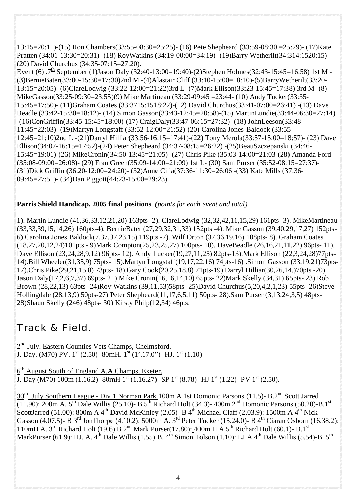13:15=20:11)-(15) Ron Chambers(33:55-08:30=25:25)- (16) Pete Shepheard (33:59-08:30 =25:29)- (17)Kate Pratten (34:01-13:30=20:31)- (18) RoyWatkins (34:19-00:00=34:19)- (19)Barry Wetherilt(34:314:1520:15)- (20) David Churchus (34:35-07:15=27:20).

Event (6)  $.7^{\text{th}}$  September (1)Jason Daly (32:40-13:00=19:40)-(2)Stephen Holmes(32:43-15:45=16:58) 1st M -(3)BernieBater(33:00-15:30=17:30)2nd M -(4)Alastair Cliff (33:10-15:00=18:10)-(5)BarryWetherilt(33:20- 13:15=20:05)- (6)ClareLodwig (33:22-12:00=21:22)3rd L- (7)Mark Ellison(33:23-15:45=17:38) 3rd M- (8) MikeGasson(33:25-09:30=23:55)(9) Mike Martineau (33:29-09:45 =23:44- (10) Andy Tucker(33:35- 15:45=17:50)- (11)Graham Coates (33:3715:1518:22)-(12) David Churchus(33:41-07:00=26:41) -(13) Dave Beadle (33:42-15:30=18:12)- (14) Simon Gasson(33:43-12:45=20:58)-(15) MartinLundie(33:44-06:30=27:14) -(16)ConGriffin(33:45-15:45=18:00)-(17) CraigDaly(33:47-06:15=27:32) -(18) JohnLeeson(33:48- 11:45=22:03)- (19)Martyn Longstaff (33:52-12:00=21:52)-(20) Carolina Jones-Baldock (33:55- 12:45=21:10)2nd L -(21)Darryl Hilliar(33:56-16:15=17:41)-(22) Tony Merola(33:57-15:00=18:57)- (23) Dave Ellison(34:07-16:15=17:52)-(24) Peter Shepheard (34:37-08:15=26:22) -(25)BeauSzczepanski (34:46- 15:45=19:01)-(26) MikeCronin(34:50-13:45=21:05)- (27) Chris Pike (35:03-14:00=21:03-(28) Amanda Ford (35:08-09:00=26:08)- (29) Fran Green(35:09-14:00=21:09) 1st L- (30) Sam Purser (35:52-08:15=27:37)- (31)Dick Griffin (36:20-12:00=24:20)- (32)Anne Cilia(37:36-11:30=26:06 -(33) Kate Mills (37:36- 09:45=27:51)- (34)Dan Piggott(44:23-15:00=29:23).

#### **Parris Shield Handicap. 2005 final positions**. *(points for each event and total)*

1). Martin Lundie (41,36,33,12,21,20) 163pts -2). ClareLodwig (32,32,42,11,15,29) 161pts- 3). MikeMartineau (33,33,39,15,14,26) 160pts-4). BernieBater (27,29,32,31,33) 152pts -4). Mike Gasson (39,40,29,17,27) 152pts-6).Carolina Jones Baldock(7,37,37,23,15) 119pts -7). Wilf Orton (37,36,19,16) 108pts- 8). Graham Coates (18,27,20,12,24)101pts - 9)Mark Compton(25,23,25,27) 100pts- 10). DaveBeadle (26,16,21,11,22) 96pts- 11). Dave Ellison (23,24,28,9,12) 96pts- 12). Andy Tucker(19,27,11,25) 82pts-13).Mark Ellison (22,3,24,28)77pts-14).Bill Wheeler(31,35,9) 75pts- 15).Martyn Longstaff(19,17,22,16) 74pts-16) .Simon Gasson (33,19,21)73pts-17).Chris Pike(29,21,15,8) 73pts- 18).Gary Cook(20,25,18,8) 71pts-19).Darryl Hilliar(30,26,14,)70pts -20) Jason Daly(17,2,6,7,37) 69pts- 21) Mike Cronin(16,16,14,10) 65pts- 22)Mark Skelly (34,31) 65pts- 23) Rob Brown (28,22,13) 63pts- 24)Roy Watkins (39,11,53)58pts -25)David Churchus(5,20,4,2,1,23) 55pts- 26)Steve Hollingdale (28,13,9) 50pts-27) Peter Shepheard(11,17,6,5,11) 50pts- 28).Sam Purser (3,13,24,3,5) 48pts-28)Shaun Skelly (246) 48pts- 30) Kirsty Philp(12,34) 46pts.

## Track & Field.

 $2<sup>nd</sup>$  July. Eastern Counties Vets Champs, Chelmsford. J. Day. (M70) PV.  $1^{\text{st}}$  (2.50)- 80mH.  $1^{\text{st}}$  (1'.17.0")- HJ.  $1^{\text{st}}$  (1.10)

 $6<sup>th</sup>$  August South of England A.A Champs, Exeter. J. Day (M70) 100m (1.16.2)- 80mH  $1^{st}$  (1.16.27)- SP  $1^{st}$  (8.78)- HJ  $1^{st}$  (1.22)- PV  $1^{st}$  (2.50).

30<sup>th</sup> July Southern League - Div 1 Norman Park 100m A 1st Domonic Parsons (11.5)- B.2<sup>nd</sup> Scott Jarred  $(11.90)$ : 200m A. 5<sup>th</sup> Dale Willis (25.10)- B.5<sup>th</sup> Richard Holt (34.3)- 400m 2<sup>nd</sup> Domonic Parsons (50.20)-B.1<sup>st</sup> ScottJarred (51.00): 800m A 4<sup>th</sup> David McKinley (2.05)- B 4<sup>th</sup> Michael Claff (2.03.9): 1500m A 4<sup>th</sup> Nick Gasson (4.07.5)- B 3<sup>rd</sup> JonThorpe (4.10.2): 5000m A. 3<sup>rd</sup> Peter Tucker (15.24.0)- B 4<sup>th</sup> Ciaran Osborn (16.38.2): 110mH A. 3<sup>rd</sup> Richard Holt (19.6) B 2<sup>nd</sup> Mark Purser(17.80): 400m H A 5<sup>th</sup> Richard Holt (60.1)- B.1<sup>st</sup> MarkPurser (61.9): HJ. A.  $4<sup>th</sup>$  Dale Willis (1.55) B.  $4<sup>th</sup>$  Simon Tolson (1.10): LJ A  $4<sup>th</sup>$  Dale Willis (5.54)-B.  $5<sup>th</sup>$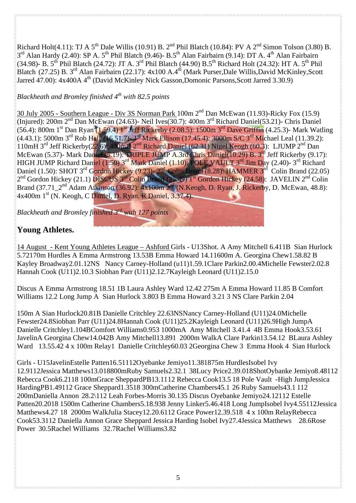Richard Holt(4.11): TJ A 5<sup>th</sup> Dale Willis (10.91) B. 2<sup>nd</sup> Phil Blatch (10.84): PV A 2<sup>nd</sup> Simon Tolson (3.80) B. 3<sup>rd</sup> Alan Hardy (2.40): SP A. 5<sup>th</sup> Phil Blatch (9.46)- B.5<sup>th</sup> Alan Fairbairn (9.14): DT A. 4<sup>th</sup> Alan Fairbairn (34.98)- B. 5<sup>th</sup> Phil Blatch (24.72): JT A. 3<sup>rd</sup> Phil Blatch (44.90) B.5<sup>th</sup> Richard Holt (24.32): HT A. 5<sup>th</sup> Phil Blatch (27.25) B. 3<sup>rd</sup> Alan Fairbairn (22.17): 4x100 A.4<sup>th</sup> (Mark Purser,Dale Willis,David McKinley,Scott Jarred 47.00): 4x400A 4<sup>th</sup> (David McKinley Nick Gasson,Domonic Parsons,Scott Jarred 3.30.9)

## *Blackheath and Bromley finished 4th with 82.5 points*

30 July 2005 - Southern League - Div 3S Norman Park 100m 2nd Dan McEwan (11.93)-Ricky Fox (15.9) (Injured): 200m 2<sup>nd</sup> Dan McEwan (24.63)- Neil Ives(30.7): 400m 3<sup>rd</sup> Richard Daniel(53.21)- Chris Daniel (56.4): 800m 1<sup>st</sup> Dan Ryan (1.59.4) 1<sup>st</sup> Jeff Rickerby (2.08.5): 1500m 3<sup>rd</sup> Dave Griffin (4.25.3)- Mark Watling  $(4.43.1)$ : 5000m 3<sup>rd</sup> Rob Hall  $(16.51.7)$ - 1<sup>st</sup> Mark Ellison (17.45.4): 3000m S/C 3<sup>rd</sup> Michael Leal (11.39.2): 110mH 3<sup>rd</sup> Jeff Rickerby(22.6): 400mH 2<sup>nd</sup> Richard Daniel (62.31) Nigel Keogh (60.3): LJUMP 2<sup>nd</sup> Dan McEwan (5.37)- Mark Daniel (5.19): TRIPLE JUMP A.3rd Chris Daniel(10.29) B. 3<sup>rd</sup> Jeff Rickerby (9.17): HIGH JUMP Richard Daniel (1.50) 3rd Mark Daniel (1.10): POLE VAULT 3rd Jim Day (2.40)- 3rd Richard Daniel (1.50): SHOT 3<sup>rd</sup> Gordon Hickey (9.23)- 2<sup>nd</sup> Colin Brand (8.28): HAMMER 3<sup>rd</sup> Colin Brand (22.05) 2<sup>nd</sup> Gordon Hickey (21.1) DISCUS 3<sup>rd</sup> Colin Brand (25.49) 1<sup>st</sup> Gordon Hickey (24.58): JAVELIN 2<sup>nd</sup> Colin Brand (37.71\_2<sup>nd</sup> Adam Atkinson (36.92): 4x100m 2<sup>nd</sup> (N.Keogh, D. Ryan, J. Rickerby, D. McEwan, 48.8): 4x400m 1<sup>st</sup> (N. Keogh, C Daniel, D. Ryan, R Daniel, 3.37.4).

*Blackheath and Bromley finished 3rd with 127 points* 

## **Young Athletes.**

14 August - Kent Young Athletes League – Ashford Girls - U13Shot. A Amy Mitchell 6.411B Sian Hurlock 5.72170m Hurdles A Emma Armstrong 13.53B Emma Howard 14.11600m A. Georgina Chew1.58.82 B Kayley Broadway2.01.12NS Nancy Carney-Holland (u11)1.59.1Clare Parkin2.00.4Michelle Fewster2.02.8 Hannah Cook (U11)2.10.3 Siobhan Parr (U11)2.12.7Kayleigh Leonard (U11)2.15.0

Discus A Emma Armstrong 18.51 1B Laura Ashley Ward 12.42 275m A Emma Howard 11.85 B Comfort Williams 12.2 Long Jump A Sian Hurlock 3.803 B Emma Howard 3.21 3 NS Clare Parkin 2.04

150m A Sian Hurlock20.81B Danielle Critchley 22.63NSNancy Carney-Holland (U11)24.0Michelle Fewster24.8Siobhan Parr (U11)24.8Hannah Cook (U11)25.2Kayleigh Leonard (U11)26.9High JumpA Danielle Critchley1.104BComfort Williams0.953 1000mA Amy Mitchell 3.41.4 4B Emma Hook3.53.61 JavelinA Georgina Chew14.042B Amy Mitchell13.891 2000m WalkA Clare Parkin13.54.12 BLaura Ashley Ward 13.55.42 4 x 100m Relay1 Danielle Critchley60.03 2Georgina Chew 3 Emma Hook 4 Sian Hurlock

Girls - U15JavelinEstelle Patten16.51112Oyebanke Jemiyo11.381875m HurdlesIsobel Ivy 12.9112Jessica Matthews13.0 18800mRuby Samuels2.32.1 38Lucy Price2.39.018ShotOybanke Jemiyo8.48112 Rebecca Cook6.2118 100mGrace SheppardPB13.11 12 Rebecca Cook13.5 18 Pole Vault -High JumpJessica HardingPB1.49112 Grace Sheppard1.3518 300mCatherine Chambers45.1 26 Ruby Samuels43.1 112 200mDaniella Annon 28.2\112 Leah Forbes-Morris 30.135 Discus Oyebanke Jemiyo24.12112 Estelle Patten20.2018 1500m Catherine Chambers5.18.938 Jenny Linker5.46.418 Long JumpIsobel Ivy4.55112Jessica Matthews4.27 18 2000m WalkJulia Stacey12.20.6112 Grace Power12.39.518 4 x 100m RelayRebecca Cook53.3112 Daniella Annon Grace Sheppard Jessica Harding Isobel Ivy27.4Jessica Matthews 28.6Rose Power 30.5Rachel Williams 32.7Rachel Williams3.82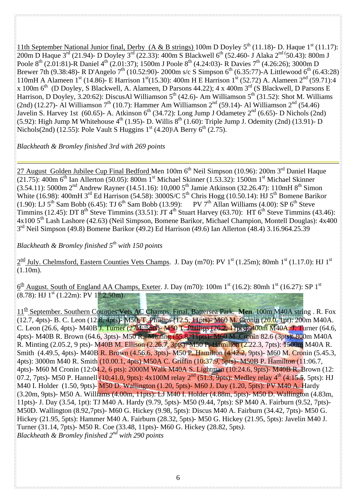11th September National Junior final, Derby (A & B strings) 100m D Doyley  $5^{th}$  (11.18)- D. Haque  $1^{st}$  (11.17): 200m D Haque 3<sup>rd</sup> (21.94)- D Doyley 3<sup>rd</sup> (22.33): 400m S Blackwell 6<sup>th</sup> (52.460- J Alaka 2<sup>nd (</sup>50.43): 800m J Poole 8<sup>th</sup> (2.01:81)-R Daniel 4<sup>th</sup> (2.01:37); 1500m J Poole 8<sup>th</sup> (4.24:03)- R Davies 7<sup>th</sup> (4.26:26); 3000m D Brewer 7th (9.38:48)- R D'Angelo 7<sup>th</sup> (10.52:90)- 2000m s/c S Simpson 6<sup>th</sup> (6.35:77)-A Littlewood 6<sup>th</sup> (6.43:28) 110mH A Alameen  $1^{st}$  (14.86)- E Harrison  $1^{st}$  (15.30): 400m H E Harrison  $1^{st}$  (52.72) A. Alameen  $2^{nd}$  (59.71):4 x 100m  $6<sup>th</sup>$  (D Doyley, S Blackwell, A. Alameen, D Parsons 44.22); 4 x 400m  $3<sup>rd</sup>$  (S Blackwell, D Parsons E Harrison, D Doyley, 3.20:62): DiscusAl Williamson  $5^{th}$  (42.6)- Am Williamson  $5^{th}$  (31.52): Shot M. Williams (2nd) (12.27)- Al Williamson 7<sup>th</sup> (10.7): Hammer Am Williamson 2<sup>nd</sup> (59.14)- Al Williamson 2<sup>nd</sup> (54.46) Javelin S. Harvey 1st (60.65)- A. Atkinson  $6^{th}$  (34.72): Long Jump J Odametey  $2^{nd}$  (6.65)- D Nichols (2nd) (5.92): High Jump M Whitehouse  $4^{th}$  (1.95)- D. Willis  $8^{th}$  (1.60): Triple Jump J. Odemity (2nd) (13.91)- D Nichols(2nd) (12.55): Pole Vault S Huggins  $1<sup>st</sup>$  (4.20) A Berry 6<sup>th</sup> (2.75).

*Blackheath & Bromley finished 3rd with 269 points* 

27 August Golden Jubilee Cup Final Bedford Men 100m 6<sup>th</sup> Neil Simpson (10.96): 200m 3<sup>rd</sup> Daniel Haque  $(21.75)$ : 400m 6<sup>th</sup> Ian Allerton (50.05): 800m 1<sup>st</sup> Michael Skinner (1.53.32): 1500m 1<sup>st</sup> Michael Skinner  $(3.54.11)$ : 5000m 2<sup>nd</sup> Andrew Rayner (14.51.16): 10,000 5<sup>th</sup> Jamie Atkinson (32.26.47): 110mH 8<sup>th</sup> Simon White (16.98): 400mH  $3^{rd}$  Ed Harrison (54.58): 3000S/C  $5^{th}$  Chris Hogg (10.50.14): HJ  $5^{th}$  Bomene Barikor (1.90): LJ  $5^{th}$  Sam Bobb (6.45): TJ  $6^{th}$  Sam Bobb (13.99): PV  $7^{th}$  Allan Williams (4.00): SP  $6^{th}$  Steve Timmins (12.45): DT  $8<sup>th</sup>$  Steve Timmins (33.51): JT  $4<sup>th</sup>$  Stuart Harvey (63.70): HT  $6<sup>th</sup>$  Steve Timmins (43.46): 4x100 5th Lash Lashore (42.63) (Neil Simpson, Bomene Barikor, Michael Champion, Montell Douglas): 4x400  $3<sup>rd</sup>$  Neil Simpson (49.8) Bomene Barikor (49.2) Ed Harrison (49.6) Ian Allerton (48.4) 3.16.964.25.39

*Blackheath & Bromley finished 5th with 150 points*

 $2^{\text{nd}}$  July. Chelmsford, Eastern Counties Vets Champs. J. Day (m70): PV 1<sup>st</sup> (1.25m); 80mh 1<sup>st</sup> (1.17.0): HJ 1<sup>st</sup> (1.10m).

 $6<sup>th</sup>$  August. South of England AA Champs, Exeter. J. Day (m70): 100m 1<sup>st</sup> (16.2): 80mh 1<sup>st</sup> (16.27): SP 1<sup>st</sup>  $(8.78)$ : HJ  $1<sup>st</sup>$  (1.22m): PV  $1<sup>st</sup>$  2.50m).

11<sup>th</sup> September. Southern Counties Vets AC Champs. Final. Battersea Park. **Men**. 100m M40A string . R. Fox (12.7, 4pts)- B. C. Leon (12.8, 4pts)- M50. T. Phillips (12.5, 11pts)- M60 M. Cronin (20.0, 1pt): 200m M40A. C. Leon (26.6, 4pts)- M40B J. Turner (27.4, 5pts)- M50 T. Phillips (26.2, 11pts): 400m M40A. J. Turner (64.6, 4pts)- M40B R. Brown (64.6, 3pts)- M50 R. Minting (55.8, 11pts)- M60 M. Cronin 82.6 (3pts): 800m M40A R. Minting (2.05.2, 9 pts)- M40B M. Ellison (2.26.7, 3pts)- M50 P. Hamilton (2.22.3, 7pts): 1500m M40A R. Smith (4.49.5, 4pts)- M40B R. Brown (4.56.6, 3pts)- M50 P. Hamilton (4.42.2, 9pts)- M60 M. Cronin (5.45.3, 4pts): 3000m M40 R. Smith (10.00.1, 4pts) M50A C. Griffin (10:37.9, 5pts)- M50B P. Hamilton (11:06.7, 4pts)- M60 M Cronin (12:04.2, 6 pts): 2000M Walk M40A S. Lightman (10:24.6, 9pts)- M40B R. Brown (12: 07.2, 7pts)- M50 P. Hannell (10:41.0, 9pts):  $4x100M$  relay  $2^{nd}$  (51.3, 9pts): Medley relay  $4^{th}$  (4:15.5, 5pts): HJ M40 I. Holder (1.50, 9pts)- M50 D. Wallington (1.20, 5pts)- M60 J. Day (1.20, 5pts): PV M40 A. Hardy (3.20m, 9pts)- M50 A. Williams (4.00m, 11pts): LJ M40 I. Holder (4.88m, 5pts)- M50 D. Wallington (4.83m, 11pts)- J. Day (3.54, 1pt): TJ M40 A. Hardy (9.79, 5pts)- M50 (9.44, 7pts): SP M40 A. Fairburn (9.52, 7pts)- M50D. Wallington (8.92,7pts)- M60 G. Hickey (9.98, 5pts): Discus M40 A. Fairburn (34.42, 7pts)- M50 G. Hickey (21.95, 5pts): Hammer M40 A. Fairburn (28.32, 5pts)- M50 G. Hickey (21.95, 5pts): Javelin M40 J. Turner (31.14, 7pts)- M50 R. Coe (33.48, 11pts)- M60 G. Hickey (28.82, 5pts*). Blackheath & Bromley finished 2nd with 290 points*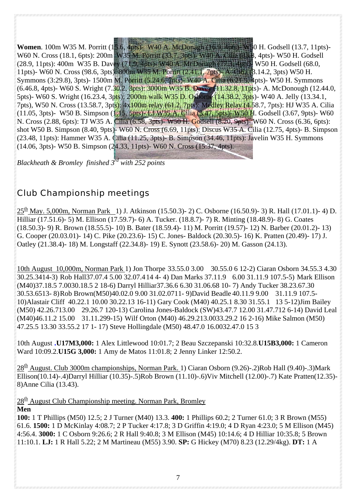**Women**. 100m W35 M. Porritt (15.6, 4pts)- W40 A. McDonagh (16.9, 4pts)- W50 H. Godsell (13.7, 11pts)- W60 N. Cross (18.1, 6pts): 200m W35 M. Porritt (33.7, 3pts)- W40 A. Cilia (33.8, 4pts)- W50 H. Godsell (28.9, 11pts): 400m W35 B. Davey (71.9, 4pts)- W40 A. McDonagh (77.3, 4pts)- W50 H. Godsell (68.0, 11pts)- W60 N. Cross (98.6, 3pts): 800m W35 M. Porritt (2.41.1, 7pts)- A. Cilia (3.14.2, 3pts) W50 H. Symmons (3:29.8), 3pts)- 1500m M. Porritt (5.24.6, 7pts)- W40 A. Cilia (6.21.5, 4pts)- W50 H. Symmons (6.46.8, 4pts)- W60 S. Wright (7.30.2, 3pts): 3000m W35 B. Davey (11.32.8, 11pts)- A. McDonough (12.44.0, 5pts)- W60 S. Wright (16.23.4, 3pts): 2000m walk W35 D. Osborne (14.38.2, 3pts)- W40 A. Jelly (13.34.1, 7pts), W50 N. Cross (13.58.7, 3pts): 4x100m relay (61.2, 7pts): Medley Relay (4.58.7, 7pts): HJ W35 A. Cilia (11.05, 3pts)- W50 B. Simpson (1.15, 5pts)- LJ W35 A. Cilia (3.47, 5pts)- W50 H. Godsell (3.67, 9pts)- W60 N. Cross (2.88, 6pts): TJ W35 A. Cilia (6.58, 3pts)- W50 H. Godsell (8.20, 9pts)- W60 N. Cross (6.36, 6pts): shot W50 B. Simpson (8.40, 9pts)- W60 N. Cross (6.69, 11pts): Discus W35 A. Cilia (12.75, 4pts)- B. Simpson (23.48, 11pts): Hammer W35 A. Cilia (11.25, 3pts)- B. Simpson (34.46, 11pts): Javelin W35 H. Symmons (14.06, 3pts)- W50 B. Simpson (24.33, 11pts)- W60 N. Cross (15.37, 4pts).

*Blackheath & Bromley finished 3rd with 252 points*

## Club Championship meetings

 $25^{\text{th}}$  May. 5,000m, Norman Park 1) J. Atkinson (15.50.3)- 2) C. Osborne (16.50.9)- 3) R. Hall (17.01.1)- 4) D. Hilliar (17.51.6)- 5) M. Ellison (17.59.7)- 6) A. Tucker. (18.8.7)- 7) R. Minting (18.48.9)- 8) G. Coates (18.50.3)- 9) R. Brown (18.55.5)- 10) B. Bater (18.59.4)- 11) M. Porritt (19.57)- 12) N. Barber (20.01.2)- 13) G. Cooper (20.03.01)- 14) C. Pike (20.23.6)- 15) C. Jones- Baldock (20.30.5)- 16) K. Pratten (20.49)- 17) J. Oatley (21.38.4)- 18) M. Longstaff (22.34.8)- 19) E. Synott (23.58.6)- 20) M. Gasson (24.13).

10th August 10,000m, Norman Park 1) Jon Thorpe 33.55.0 3.00 30.55.0 6 12-2) Ciaran Osborn 34.55.3 4.30 30.25.3414-3) Rob Hall37.07.4 5.00 32.07.4 14 4- 4) Dan Marks 37.11.9 6.00 31.11.9 107.5-5) Mark Ellison (M40)37.18.5 7.0030.18.5 2 18-6) Darryl Hilliar37.36.6 6.30 31.06.68 10- 7) Andy Tucker 38.23.67.30 30.53.6513- 8) Rob Brown(M50)40.02.0 9.00 31.02.0711- 9)David Beadle 40.11.9 9.00 31.11.9 107.5- 10)Alastair Cliff 40.22.1 10.00 30.22.13 16-11) Gary Cook (M40) 40.25.1 8.30 31.55.1 13 5-12)Jim Bailey (M50) 42.26.713.00 29.26.7 120-13) Carolina Jones-Baldock (SW)43.47.7 12.00 31.47.712 6-14) David Leal (M40)46.11.2 15.00 31.11.299-15) Wilf Orton (M40) 46.29.213.0033.29.2 16 2-16) Mike Salmon (M50) 47.25.5 13.30 33.55.2 17 1- 17) Steve Hollingdale (M50) 48.47.0 16.0032.47.0 15 3

10th August **.U17M3,000:** 1 Alex Littlewood 10:01.7; 2 Beau Szczepanski 10:32.8.**U15B3,000:** 1 Cameron Ward 10:09.2.**U15G 3,000:** 1 Amy de Matos 11:01.8; 2 Jenny Linker 12:50.2.

 $28<sup>th</sup>$  August. Club 3000m championships, Norman Park. 1) Ciaran Osborn (9.26)-.2)Rob Hall (9.40)-.3)Mark Ellison(10.14)-.4)Darryl Hilliar (10.35)-.5)Rob Brown (11.10)-.6)Viv Mitchell (12.00)-.7) Kate Pratten(12.35)- 8)Anne Cilia (13.43).

 $28<sup>th</sup>$  August Club Championship meeting. Norman Park, Bromley **Men** 

**100:** 1 T Phillips (M50) 12.5; 2 J Turner (M40) 13.3. **400:** 1 Phillips 60.2; 2 Turner 61.0; 3 R Brown (M55) 61.6. **1500:** 1 D McKinlay 4:08.7; 2 P Tucker 4:17.8; 3 D Griffin 4:19.0; 4 D Ryan 4:23.0; 5 M Ellison (M45) 4:56.4. **3000:** 1 C Osborn 9:26.6; 2 R Hall 9:40.8; 3 M Ellison (M45) 10:14.6; 4 D Hilliar 10:35.8; 5 Brown 11:10.1. **LJ:** 1 R Hall 5.22; 2 M Martineau (M55) 3.90. **SP:** G Hickey (M70) 8.23 (12.29/4kg). **DT:** 1 A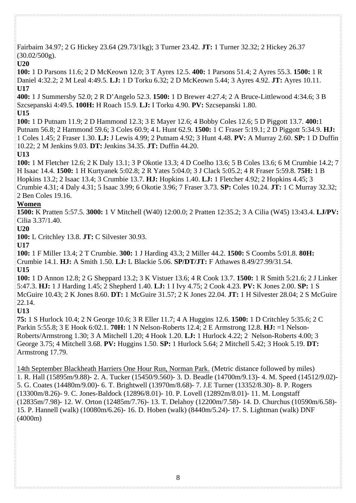Fairbairn 34.97; 2 G Hickey 23.64 (29.73/1kg); 3 Turner 23.42. **JT:** 1 Turner 32.32; 2 Hickey 26.37  $(30.02/500)$ .

#### **U20**

**100:** 1 D Parsons 11.6; 2 D McKeown 12.0; 3 T Ayres 12.5. **400:** 1 Parsons 51.4; 2 Ayres 55.3. **1500:** 1 R Daniel 4:32.2; 2 M Leal 4:49.5. **LJ:** 1 D Torku 6.32; 2 D McKeown 5.44; 3 Ayres 4.92. **JT:** Ayres 10.11. **U17** 

**400:** 1 J Summersby 52.0; 2 R D'Angelo 52.3. **1500:** 1 D Brewer 4:27.4; 2 A Bruce-Littlewood 4:34.6; 3 B Szcsepanski 4:49.5. **100H:** H Roach 15.9. **LJ:** I Torku 4.90. **PV:** Szcsepanski 1.80. **U15** 

**100:** 1 D Putnam 11.9; 2 D Hammond 12.3; 3 E Mayer 12.6; 4 Bobby Coles 12.6; 5 D Piggott 13.7. **400:**1 Putnam 56.8; 2 Hammond 59.6; 3 Coles 60.9; 4 L Hunt 62.9. **1500:** 1 C Fraser 5:19.1; 2 D Piggott 5:34.9. **HJ:** 1 Coles 1.45; 2 Fraser 1.30. **LJ:** J Lewis 4.99; 2 Putnam 4.92; 3 Hunt 4.48. **PV:** A Murray 2.60. **SP:** 1 D Duffin 10.22; 2 M Jenkins 9.03. **DT:** Jenkins 34.35. **JT:** Duffin 44.20.

**U13** 

**100:** 1 M Fletcher 12.6; 2 K Daly 13.1; 3 P Okotie 13.3; 4 D Coelho 13.6; 5 B Coles 13.6; 6 M Crumbie 14.2; 7 H Isaac 14.4. **1500:** 1 H Kurtyanek 5:02.8; 2 R Yates 5:04.0; 3 J Clack 5:05.2; 4 R Fraser 5:59.8. **75H:** 1 B Hopkins 13.2; 2 Isaac 13.4; 3 Crumbie 13.7. **HJ:** Hopkins 1.40. **LJ:** 1 Fletcher 4.92; 2 Hopkins 4.45; 3 Crumbie 4.31; 4 Daly 4.31; 5 Isaac 3.99; 6 Okotie 3.96; 7 Fraser 3.73. **SP:** Coles 10.24. **JT:** 1 C Murray 32.32; 2 Ben Coles 19.16.

### **Women**

**1500:** K Pratten 5:57.5. **3000:** 1 V Mitchell (W40) 12:00.0; 2 Pratten 12:35.2; 3 A Cilia (W45) 13:43.4. **LJ/PV:** Cilia 3.37/1.40.

#### **U20**

**100:** L Critchley 13.8. **JT:** C Silvester 30.93.

**U17** 

**100:** 1 F Miller 13.4; 2 T Crumbie. **300:** 1 J Harding 43.3; 2 Miller 44.2. **1500:** S Coombs 5:01.8. **80H:**  Crumbie 14.1. **HJ:** A Smith 1.50. **LJ:** L Blackie 5.06. **SP/DT/JT:** F Athawes 8.49/27.99/31.54. **U15** 

**100:** 1 D Annon 12.8; 2 G Sheppard 13.2; 3 K Vistuer 13.6; 4 R Cook 13.7. **1500:** 1 R Smith 5:21.6; 2 J Linker 5:47.3. **HJ:** 1 J Harding 1.45; 2 Shepherd 1.40. **LJ:** 1 I Ivy 4.75; 2 Cook 4.23. **PV:** K Jones 2.00. **SP:** 1 S McGuire 10.43; 2 K Jones 8.60. **DT:** 1 McGuire 31.57; 2 K Jones 22.04. **JT:** 1 H Silvester 28.04; 2 S McGuire 22.14.

**U13** 

**75:** 1 S Hurlock 10.4; 2 N George 10.6; 3 R Eller 11.7; 4 A Huggins 12.6. **1500:** 1 D Critchley 5:35.6; 2 C Parkin 5:55.8; 3 E Hook 6:02.1. **70H:** 1 N Nelson-Roberts 12.4; 2 E Armstrong 12.8. **HJ:** =1 Nelson-Roberts/Armstrong 1.30; 3 A Mitchell 1.20; 4 Hook 1.20. **LJ:** 1 Hurlock 4.22; 2 Nelson-Roberts 4.00; 3 George 3.75; 4 Mitchell 3.68. **PV:** Huggins 1.50. **SP:** 1 Hurlock 5.64; 2 Mitchell 5.42; 3 Hook 5.19. **DT:**  Armstrong 17.79.

14th September Blackheath Harriers One Hour Run, Norman Park. (Metric distance followed by miles) 1. R. Hall (15895m/9.88)- 2. A. Tucker (15450/9.560)- 3. D. Beadle (14700m/9.13)- 4. M. Speed (14512/9.02)- 5. G. Coates (14480m/9.00)- 6. T. Brightwell (13970m/8.68)- 7. J.E Turner (13352/8.30)- 8. P. Rogers (13300m/8.26)- 9. C. Jones-Baldock (12896/8.01)- 10. P. Lovell (12892m/8.01)- 11. M. Longstaff (12835m/7.98)- 12. W. Orton (12485m/7.76)- 13. T. Delahoy (12200m/7.58)- 14. D. Churchus (10590m/6.58)- 15. P. Hannell (walk) (10080m/6.26)- 16. D. Hoben (walk) (8440m/5.24)- 17. S. Lightman (walk) DNF (4000m)